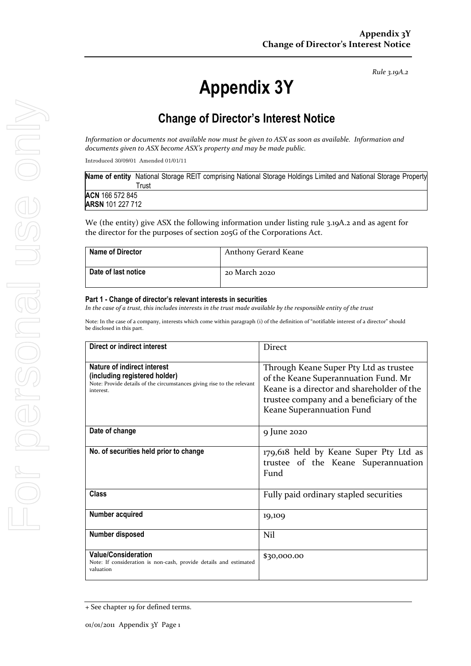*Rule 3.19A.2*

# **Appendix 3Y**

# **Change of Director's Interest Notice**

*Information or documents not available now must be given to ASX as soon as available. Information and documents given to ASX become ASX's property and may be made public.*

Introduced 30/09/01 Amended 01/01/11

| Name of entity National Storage REIT comprising National Storage Holdings Limited and National Storage Property |       |  |  |  |  |  |
|-----------------------------------------------------------------------------------------------------------------|-------|--|--|--|--|--|
|                                                                                                                 | ™rust |  |  |  |  |  |
| ACN 166 572 845                                                                                                 |       |  |  |  |  |  |
| <b>ARSN</b> 101 227 712                                                                                         |       |  |  |  |  |  |
|                                                                                                                 |       |  |  |  |  |  |

We (the entity) give ASX the following information under listing rule 3.19A.2 and as agent for the director for the purposes of section 205G of the Corporations Act.

| <b>Name of Director</b> | Anthony Gerard Keane |
|-------------------------|----------------------|
| Date of last notice     | 20 March 2020        |

#### **Part 1 - Change of director's relevant interests in securities**

*In the case of a trust, this includes interests in the trust made available by the responsible entity of the trust*

Note: In the case of a company, interests which come within paragraph (i) of the definition of "notifiable interest of a director" should be disclosed in this part.

| Direct or indirect interest                                                                                                                         | <b>Direct</b>                                                                                                                                                                                         |
|-----------------------------------------------------------------------------------------------------------------------------------------------------|-------------------------------------------------------------------------------------------------------------------------------------------------------------------------------------------------------|
| Nature of indirect interest<br>(including registered holder)<br>Note: Provide details of the circumstances giving rise to the relevant<br>interest. | Through Keane Super Pty Ltd as trustee<br>of the Keane Superannuation Fund. Mr<br>Keane is a director and shareholder of the<br>trustee company and a beneficiary of the<br>Keane Superannuation Fund |
| Date of change                                                                                                                                      | 9 June 2020                                                                                                                                                                                           |
| No. of securities held prior to change                                                                                                              | 179,618 held by Keane Super Pty Ltd as<br>trustee of the Keane Superannuation<br>Fund                                                                                                                 |
| Class                                                                                                                                               | Fully paid ordinary stapled securities                                                                                                                                                                |
| Number acquired                                                                                                                                     | 19,109                                                                                                                                                                                                |
| Number disposed                                                                                                                                     | Nil                                                                                                                                                                                                   |
| <b>Value/Consideration</b><br>Note: If consideration is non-cash, provide details and estimated<br>valuation                                        | \$30,000.00                                                                                                                                                                                           |

<sup>+</sup> See chapter 19 for defined terms.